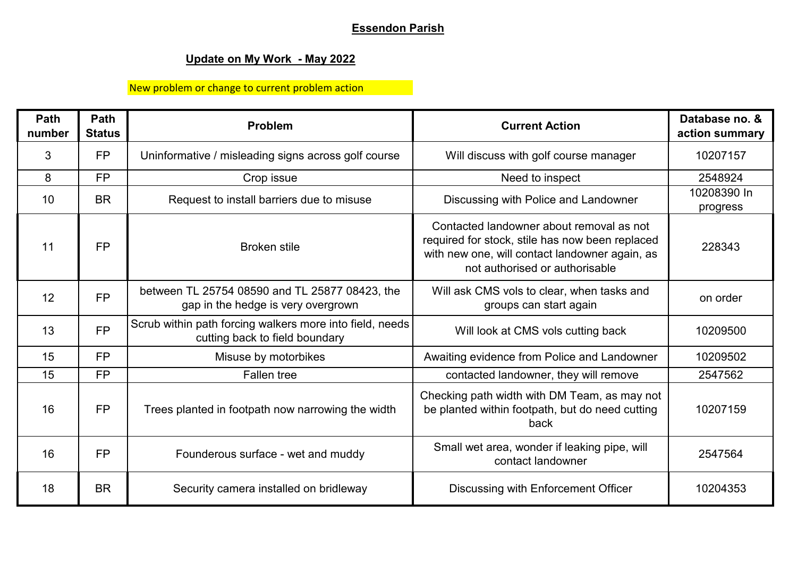## **Essendon Parish**

## **Update on My Work - May 2022**

## New problem or change to current problem action

| Path<br>number | Path<br><b>Status</b> | <b>Problem</b>                                                                             | <b>Current Action</b>                                                                                                                                                           | Database no. &<br>action summary |
|----------------|-----------------------|--------------------------------------------------------------------------------------------|---------------------------------------------------------------------------------------------------------------------------------------------------------------------------------|----------------------------------|
| 3              | <b>FP</b>             | Uninformative / misleading signs across golf course                                        | Will discuss with golf course manager                                                                                                                                           | 10207157                         |
| 8              | <b>FP</b>             | Crop issue                                                                                 | Need to inspect                                                                                                                                                                 | 2548924                          |
| 10             | <b>BR</b>             | Request to install barriers due to misuse                                                  | Discussing with Police and Landowner                                                                                                                                            | 10208390 In<br>progress          |
| 11             | <b>FP</b>             | <b>Broken stile</b>                                                                        | Contacted landowner about removal as not<br>required for stock, stile has now been replaced<br>with new one, will contact landowner again, as<br>not authorised or authorisable | 228343                           |
| 12             | <b>FP</b>             | between TL 25754 08590 and TL 25877 08423, the<br>gap in the hedge is very overgrown       | Will ask CMS vols to clear, when tasks and<br>groups can start again                                                                                                            | on order                         |
| 13             | <b>FP</b>             | Scrub within path forcing walkers more into field, needs<br>cutting back to field boundary | Will look at CMS vols cutting back                                                                                                                                              | 10209500                         |
| 15             | <b>FP</b>             | Misuse by motorbikes                                                                       | Awaiting evidence from Police and Landowner                                                                                                                                     | 10209502                         |
| 15             | <b>FP</b>             | <b>Fallen tree</b>                                                                         | contacted landowner, they will remove                                                                                                                                           | 2547562                          |
| 16             | <b>FP</b>             | Trees planted in footpath now narrowing the width                                          | Checking path width with DM Team, as may not<br>be planted within footpath, but do need cutting<br>back                                                                         | 10207159                         |
| 16             | <b>FP</b>             | Founderous surface - wet and muddy                                                         | Small wet area, wonder if leaking pipe, will<br>contact landowner                                                                                                               | 2547564                          |
| 18             | <b>BR</b>             | Security camera installed on bridleway                                                     | Discussing with Enforcement Officer                                                                                                                                             | 10204353                         |